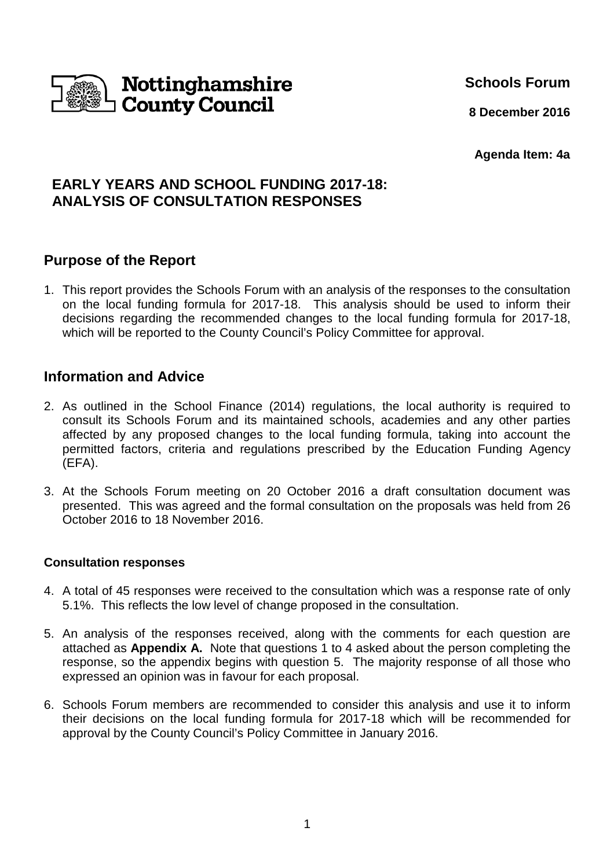

**Schools Forum**

**8 December 2016**

**Agenda Item: 4a**

## **EARLY YEARS AND SCHOOL FUNDING 2017-18: ANALYSIS OF CONSULTATION RESPONSES**

## **Purpose of the Report**

1. This report provides the Schools Forum with an analysis of the responses to the consultation on the local funding formula for 2017-18. This analysis should be used to inform their decisions regarding the recommended changes to the local funding formula for 2017-18, which will be reported to the County Council's Policy Committee for approval.

## **Information and Advice**

- 2. As outlined in the School Finance (2014) regulations, the local authority is required to consult its Schools Forum and its maintained schools, academies and any other parties affected by any proposed changes to the local funding formula, taking into account the permitted factors, criteria and regulations prescribed by the Education Funding Agency (EFA).
- 3. At the Schools Forum meeting on 20 October 2016 a draft consultation document was presented. This was agreed and the formal consultation on the proposals was held from 26 October 2016 to 18 November 2016.

#### **Consultation responses**

- 4. A total of 45 responses were received to the consultation which was a response rate of only 5.1%. This reflects the low level of change proposed in the consultation.
- 5. An analysis of the responses received, along with the comments for each question are attached as **Appendix A.** Note that questions 1 to 4 asked about the person completing the response, so the appendix begins with question 5. The majority response of all those who expressed an opinion was in favour for each proposal.
- 6. Schools Forum members are recommended to consider this analysis and use it to inform their decisions on the local funding formula for 2017-18 which will be recommended for approval by the County Council's Policy Committee in January 2016.